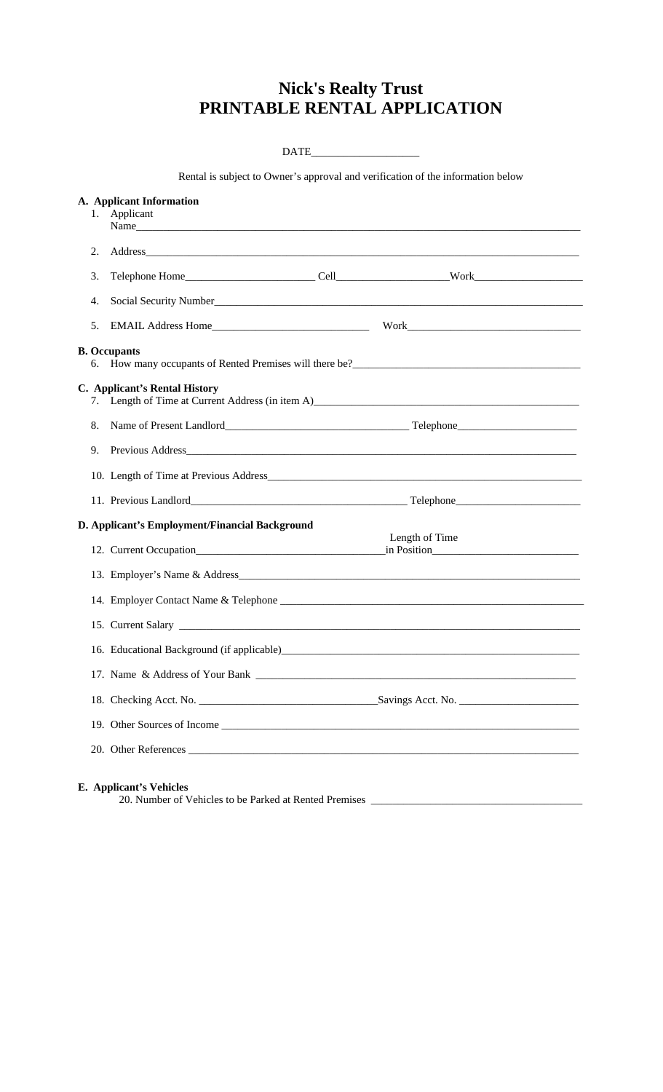## **Nick's Realty Trust PRINTABLE RENTAL APPLICATION**

| Applicant |                                                                                                                                         |                                                                                                                                                                                                                                                                                                                                                                                                                                                                                        |
|-----------|-----------------------------------------------------------------------------------------------------------------------------------------|----------------------------------------------------------------------------------------------------------------------------------------------------------------------------------------------------------------------------------------------------------------------------------------------------------------------------------------------------------------------------------------------------------------------------------------------------------------------------------------|
|           |                                                                                                                                         |                                                                                                                                                                                                                                                                                                                                                                                                                                                                                        |
|           |                                                                                                                                         |                                                                                                                                                                                                                                                                                                                                                                                                                                                                                        |
|           |                                                                                                                                         |                                                                                                                                                                                                                                                                                                                                                                                                                                                                                        |
|           |                                                                                                                                         |                                                                                                                                                                                                                                                                                                                                                                                                                                                                                        |
|           |                                                                                                                                         |                                                                                                                                                                                                                                                                                                                                                                                                                                                                                        |
|           |                                                                                                                                         |                                                                                                                                                                                                                                                                                                                                                                                                                                                                                        |
|           |                                                                                                                                         |                                                                                                                                                                                                                                                                                                                                                                                                                                                                                        |
|           |                                                                                                                                         |                                                                                                                                                                                                                                                                                                                                                                                                                                                                                        |
|           |                                                                                                                                         |                                                                                                                                                                                                                                                                                                                                                                                                                                                                                        |
|           |                                                                                                                                         |                                                                                                                                                                                                                                                                                                                                                                                                                                                                                        |
|           |                                                                                                                                         |                                                                                                                                                                                                                                                                                                                                                                                                                                                                                        |
|           |                                                                                                                                         | Length of Time                                                                                                                                                                                                                                                                                                                                                                                                                                                                         |
|           |                                                                                                                                         |                                                                                                                                                                                                                                                                                                                                                                                                                                                                                        |
|           |                                                                                                                                         |                                                                                                                                                                                                                                                                                                                                                                                                                                                                                        |
|           |                                                                                                                                         |                                                                                                                                                                                                                                                                                                                                                                                                                                                                                        |
|           |                                                                                                                                         |                                                                                                                                                                                                                                                                                                                                                                                                                                                                                        |
|           |                                                                                                                                         |                                                                                                                                                                                                                                                                                                                                                                                                                                                                                        |
|           |                                                                                                                                         |                                                                                                                                                                                                                                                                                                                                                                                                                                                                                        |
|           |                                                                                                                                         |                                                                                                                                                                                                                                                                                                                                                                                                                                                                                        |
|           |                                                                                                                                         |                                                                                                                                                                                                                                                                                                                                                                                                                                                                                        |
|           |                                                                                                                                         |                                                                                                                                                                                                                                                                                                                                                                                                                                                                                        |
|           | A. Applicant Information<br>1.<br><b>B.</b> Occupants<br>C. Applicant's Rental History<br>15. Current Salary<br>E. Applicant's Vehicles | DATE<br>Rental is subject to Owner's approval and verification of the information below<br>Social Security Number<br>7. Length of Time at Current Address (in item A)<br>10. Length of Time at Previous Address <b>Example 20</b> and 20 and 20 and 20 and 20 and 20 and 20 and 20 and 20 and 20 and 20 and 20 and 20 and 20 and 20 and 20 and 20 and 20 and 20 and 20 and 20 and 20 and 20 and 20 and 20 an<br>D. Applicant's Employment/Financial Background<br>20. Other References |

20. Number of Vehicles to be Parked at Rented Premises \_\_\_\_\_\_\_\_\_\_\_\_\_\_\_\_\_\_\_\_\_\_\_\_\_\_\_\_\_\_\_\_\_\_\_\_\_\_\_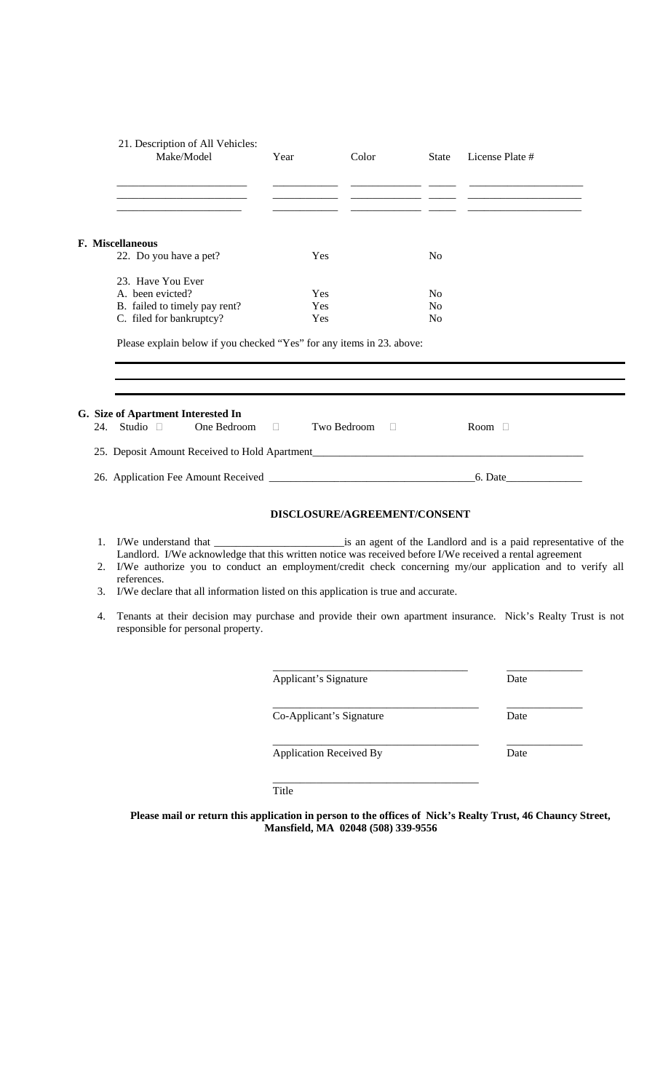|    | Make/Model                                                                                                                                                                                                       | 21. Description of All Vehicles:<br>Year | Color                        | <b>State</b>   | License Plate #                                                                                                                                                                                                                     |
|----|------------------------------------------------------------------------------------------------------------------------------------------------------------------------------------------------------------------|------------------------------------------|------------------------------|----------------|-------------------------------------------------------------------------------------------------------------------------------------------------------------------------------------------------------------------------------------|
|    |                                                                                                                                                                                                                  |                                          |                              |                |                                                                                                                                                                                                                                     |
|    | F. Miscellaneous                                                                                                                                                                                                 |                                          |                              |                |                                                                                                                                                                                                                                     |
|    | 22. Do you have a pet?                                                                                                                                                                                           | Yes                                      |                              | N <sub>o</sub> |                                                                                                                                                                                                                                     |
|    | 23. Have You Ever                                                                                                                                                                                                |                                          |                              |                |                                                                                                                                                                                                                                     |
|    | A. been evicted?                                                                                                                                                                                                 | Yes                                      |                              | N <sub>0</sub> |                                                                                                                                                                                                                                     |
|    | B. failed to timely pay rent?                                                                                                                                                                                    | Yes                                      |                              | N <sub>0</sub> |                                                                                                                                                                                                                                     |
|    | C. filed for bankruptcy?                                                                                                                                                                                         | Yes                                      |                              | No             |                                                                                                                                                                                                                                     |
|    |                                                                                                                                                                                                                  |                                          |                              |                |                                                                                                                                                                                                                                     |
|    | G. Size of Apartment Interested In<br>24. Studio $\Box$<br>One Bedroom $\Box$                                                                                                                                    |                                          | Two Bedroom $\Box$           |                | Room $\Box$                                                                                                                                                                                                                         |
|    |                                                                                                                                                                                                                  |                                          |                              |                |                                                                                                                                                                                                                                     |
|    |                                                                                                                                                                                                                  |                                          |                              |                |                                                                                                                                                                                                                                     |
|    |                                                                                                                                                                                                                  |                                          | DISCLOSURE/AGREEMENT/CONSENT |                |                                                                                                                                                                                                                                     |
|    |                                                                                                                                                                                                                  |                                          |                              |                |                                                                                                                                                                                                                                     |
|    | Landlord. I/We acknowledge that this written notice was received before I/We received a rental agreement<br>references.<br>3. I/We declare that all information listed on this application is true and accurate. |                                          |                              |                |                                                                                                                                                                                                                                     |
| 4. | responsible for personal property.                                                                                                                                                                               |                                          |                              |                |                                                                                                                                                                                                                                     |
|    |                                                                                                                                                                                                                  | Applicant's Signature                    |                              |                | Date                                                                                                                                                                                                                                |
|    |                                                                                                                                                                                                                  | Co-Applicant's Signature                 |                              |                | 2. I/We authorize you to conduct an employment/credit check concerning my/our application and to verify all<br>Tenants at their decision may purchase and provide their own apartment insurance. Nick's Realty Trust is not<br>Date |

Title

**Please mail or return this application in person to the offices of Nick's Realty Trust, 46 Chauncy Street, Mansfield, MA 02048 (508) 339-9556**